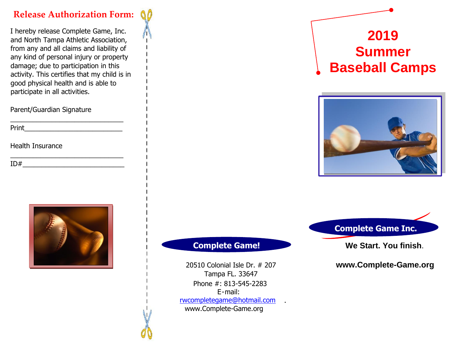# **Release Authorization Form:**

I hereby release Complete Game, Inc. and North Tampa Athletic Association, from any and all claims and liability of any kind of personal injury or property damage; due to participation in this activity. This certifies that my child is in good physical health and is able to participate in all activities.

\_\_\_\_\_\_\_\_\_\_\_\_\_\_\_\_\_\_\_\_\_\_\_\_\_\_\_\_\_\_

\_\_\_\_\_\_\_\_\_\_\_\_\_\_\_\_\_\_\_\_\_\_\_\_\_\_\_\_\_\_

Parent/Guardian Signature

Print\_\_\_\_\_\_\_\_\_\_\_\_\_\_\_\_\_\_\_\_\_\_\_\_\_\_

Health Insurance

 $ID#$ 



### **Complete Game!**

Phone #: 813-545-2283 E-mail: www.Complete-Game.org rwcompletegame@hotmail.com 20510 Colonial Isle Dr. # 207 Tampa FL. 33647

.

# **2019 Summer Baseball Camps**



 **Complete Game Inc.** 

**We Start. You finish**.

**www.Complete-Game.org**